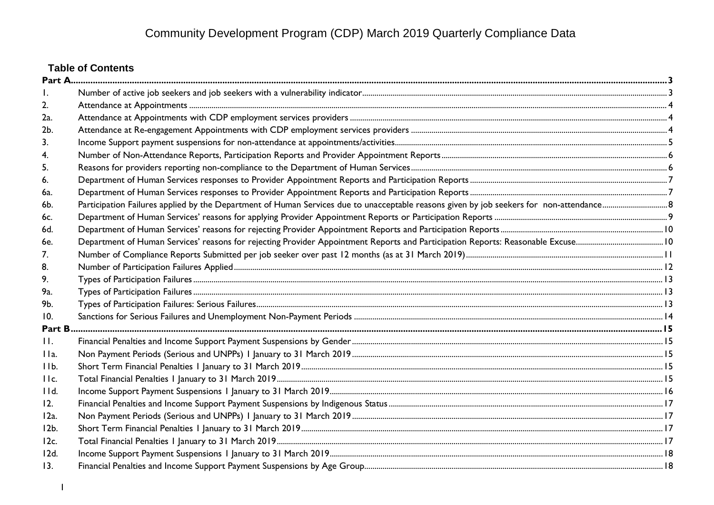# **Table of Contents**

| 2.      |  |
|---------|--|
| 2a.     |  |
| 2b.     |  |
| 3.      |  |
|         |  |
| 5.      |  |
| 6.      |  |
| 6а.     |  |
| 6b.     |  |
| 6c.     |  |
| 6d.     |  |
| 6e.     |  |
| 7.      |  |
| 8.      |  |
| 9.      |  |
| 9a.     |  |
| 9b.     |  |
| 10.     |  |
| Part B  |  |
| $\Pi$ . |  |
| IIa.    |  |
| 11b.    |  |
| IIc.    |  |
| I d.    |  |
| 12.     |  |
| $12a$ . |  |
| 12b.    |  |
| 12c.    |  |
| 12d.    |  |
| 13.     |  |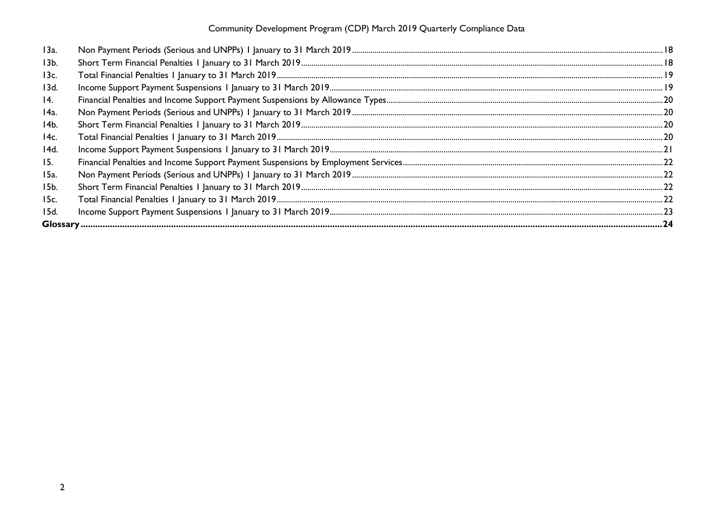| 13a.            |  |
|-----------------|--|
| 13 <sub>b</sub> |  |
| 13c.            |  |
| 13d.            |  |
| 14.             |  |
| 14a.            |  |
| 14b.            |  |
| 14с.            |  |
| 14d.            |  |
| 15.             |  |
| 15a.            |  |
| 15b.            |  |
| 15c.            |  |
| 15d.            |  |
|                 |  |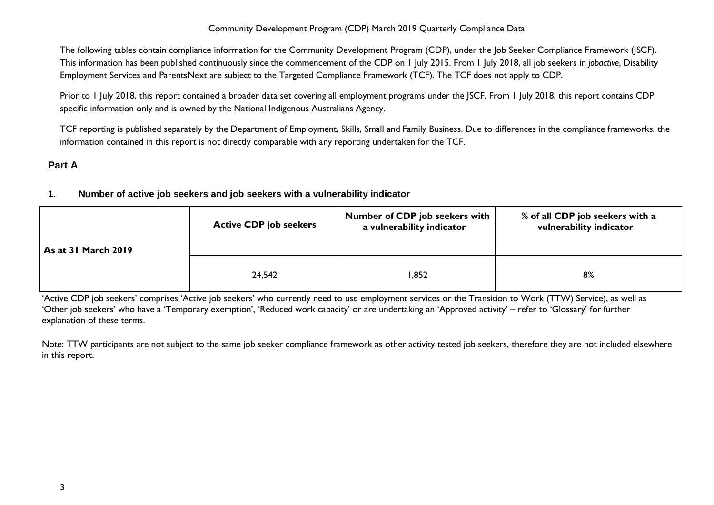The following tables contain compliance information for the Community Development Program (CDP), under the Job Seeker Compliance Framework (JSCF). This information has been published continuously since the commencement of the CDP on 1 July 2015. From 1 July 2018, all job seekers in *jobactive*, Disability Employment Services and ParentsNext are subject to the Targeted Compliance Framework (TCF). The TCF does not apply to CDP.

Prior to 1 July 2018, this report contained a broader data set covering all employment programs under the JSCF. From 1 July 2018, this report contains CDP specific information only and is owned by the National Indigenous Australians Agency.

TCF reporting is published separately by the Department of Employment, Skills, Small and Family Business. Due to differences in the compliance frameworks, the information contained in this report is not directly comparable with any reporting undertaken for the TCF.

# <span id="page-2-1"></span><span id="page-2-0"></span>**Part A**

# **1. Number of active job seekers and job seekers with a vulnerability indicator**

| <b>As at 31 March 2019</b> | <b>Active CDP job seekers</b> | <b>Number of CDP job seekers with</b><br>a vulnerability indicator | % of all CDP job seekers with a<br>vulnerability indicator |
|----------------------------|-------------------------------|--------------------------------------------------------------------|------------------------------------------------------------|
|                            | 24,542                        | ,852                                                               | 8%                                                         |

'Active CDP job seekers' comprises 'Active job seekers' who currently need to use employment services or the Transition to Work (TTW) Service), as well as 'Other job seekers' who have a 'Temporary exemption', 'Reduced work capacity' or are undertaking an 'Approved activity' – refer to 'Glossary' for further explanation of these terms.

Note: TTW participants are not subject to the same job seeker compliance framework as other activity tested job seekers, therefore they are not included elsewhere in this report.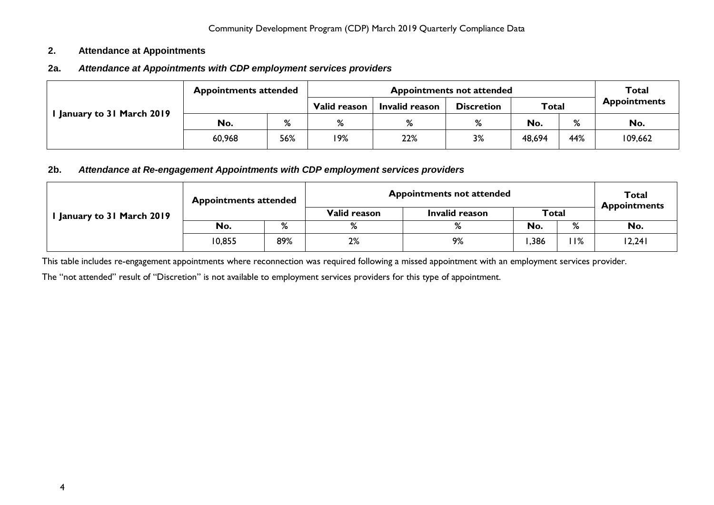#### <span id="page-3-0"></span>**2. Attendance at Appointments**

# <span id="page-3-1"></span>**2a.** *Attendance at Appointments with CDP employment services providers*

|                          | <b>Appointments attended</b> |     |              |                | <b>Appointments not attended</b> |              |     | <b>Total</b>        |
|--------------------------|------------------------------|-----|--------------|----------------|----------------------------------|--------------|-----|---------------------|
|                          |                              |     | Valid reason | Invalid reason | <b>Discretion</b>                | <b>Total</b> |     | <b>Appointments</b> |
| January to 31 March 2019 | No.                          | %   | %            | %              | %                                | No.          | %   | No.                 |
|                          | 60,968                       | 56% | 19%          | 22%            | 3%                               | 48,694       | 44% | 109,662             |

#### <span id="page-3-2"></span>**2b.** *Attendance at Re-engagement Appointments with CDP employment services providers*

|                          | <b>Appointments attended</b> |     | <b>Appointments not attended</b> | Total<br><b>Appointments</b> |      |       |        |
|--------------------------|------------------------------|-----|----------------------------------|------------------------------|------|-------|--------|
| January to 31 March 2019 |                              |     | Valid reason                     | Invalid reason               |      | Total |        |
|                          | No.                          | %   | %                                | $\mathsf{o}$                 | No.  | %     | No.    |
|                          | 10,855                       | 89% | 2%                               | 9%                           | .386 | 11%   | 12,241 |

This table includes re-engagement appointments where reconnection was required following a missed appointment with an employment services provider.

The "not attended" result of "Discretion" is not available to employment services providers for this type of appointment.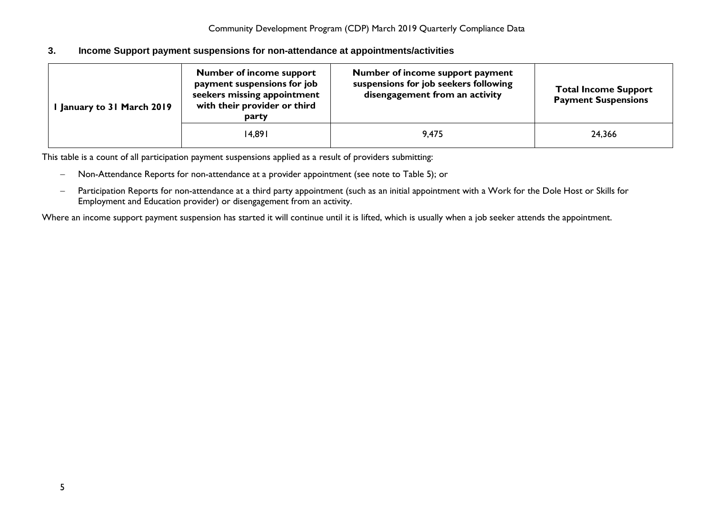#### <span id="page-4-0"></span>**3. Income Support payment suspensions for non-attendance at appointments/activities**

| January to 31 March 2019 | <b>Number of income support</b><br>payment suspensions for job<br>seekers missing appointment<br>with their provider or third<br>party | Number of income support payment<br>suspensions for job seekers following<br>disengagement from an activity | <b>Total Income Support</b><br><b>Payment Suspensions</b> |
|--------------------------|----------------------------------------------------------------------------------------------------------------------------------------|-------------------------------------------------------------------------------------------------------------|-----------------------------------------------------------|
|                          | 14,891                                                                                                                                 | 9,475                                                                                                       | 24,366                                                    |

This table is a count of all participation payment suspensions applied as a result of providers submitting:

- − Non-Attendance Reports for non-attendance at a provider appointment (see note to Table 5); or
- − Participation Reports for non-attendance at a third party appointment (such as an initial appointment with a Work for the Dole Host or Skills for Employment and Education provider) or disengagement from an activity.

Where an income support payment suspension has started it will continue until it is lifted, which is usually when a job seeker attends the appointment.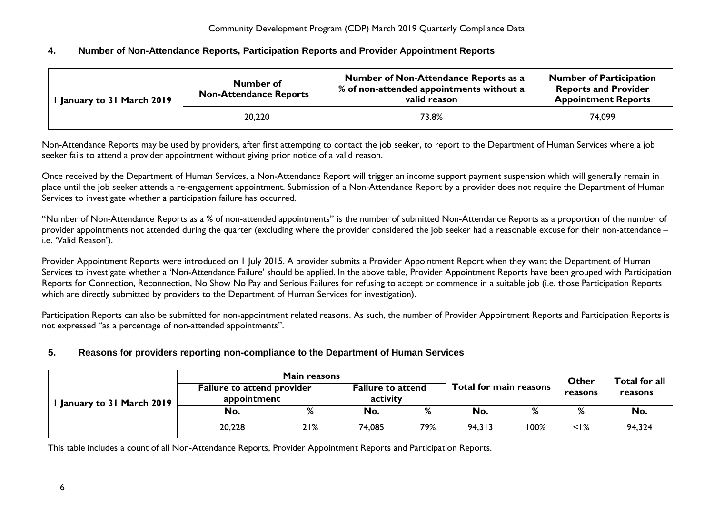#### <span id="page-5-0"></span>**4. Number of Non-Attendance Reports, Participation Reports and Provider Appointment Reports**

| <b>I January to 31 March 2019</b> | Number of<br><b>Non-Attendance Reports</b> | Number of Non-Attendance Reports as a<br>% of non-attended appointments without a<br>valid reason | <b>Number of Participation</b><br><b>Reports and Provider</b><br><b>Appointment Reports</b> |
|-----------------------------------|--------------------------------------------|---------------------------------------------------------------------------------------------------|---------------------------------------------------------------------------------------------|
|                                   | 20,220                                     | 73.8%                                                                                             | 74.099                                                                                      |

Non-Attendance Reports may be used by providers, after first attempting to contact the job seeker, to report to the Department of Human Services where a job seeker fails to attend a provider appointment without giving prior notice of a valid reason.

Once received by the Department of Human Services, a Non-Attendance Report will trigger an income support payment suspension which will generally remain in place until the job seeker attends a re-engagement appointment. Submission of a Non-Attendance Report by a provider does not require the Department of Human Services to investigate whether a participation failure has occurred.

"Number of Non-Attendance Reports as a % of non-attended appointments" is the number of submitted Non-Attendance Reports as a proportion of the number of provider appointments not attended during the quarter (excluding where the provider considered the job seeker had a reasonable excuse for their non-attendance – i.e. 'Valid Reason').

Provider Appointment Reports were introduced on 1 July 2015. A provider submits a Provider Appointment Report when they want the Department of Human Services to investigate whether a 'Non-Attendance Failure' should be applied. In the above table, Provider Appointment Reports have been grouped with Participation Reports for Connection, Reconnection, No Show No Pay and Serious Failures for refusing to accept or commence in a suitable job (i.e. those Participation Reports which are directly submitted by providers to the Department of Human Services for investigation).

Participation Reports can also be submitted for non-appointment related reasons. As such, the number of Provider Appointment Reports and Participation Reports is not expressed "as a percentage of non-attended appointments".

# <span id="page-5-1"></span>**5. Reasons for providers reporting non-compliance to the Department of Human Services**

|                          | Main reasons                                     |     |                                      |     |                        |      | <b>Other</b> | Total for all |  |
|--------------------------|--------------------------------------------------|-----|--------------------------------------|-----|------------------------|------|--------------|---------------|--|
| January to 31 March 2019 | <b>Failure to attend provider</b><br>appointment |     | <b>Failure to attend</b><br>activity |     | Total for main reasons |      | reasons      | reasons       |  |
|                          | No.                                              | %   | No.                                  | %   | No.                    | %    | %            | No.           |  |
|                          | 20,228                                           | 21% | 74,085                               | 79% | 94,313                 | 100% | $<$ I%       | 94,324        |  |

This table includes a count of all Non-Attendance Reports, Provider Appointment Reports and Participation Reports.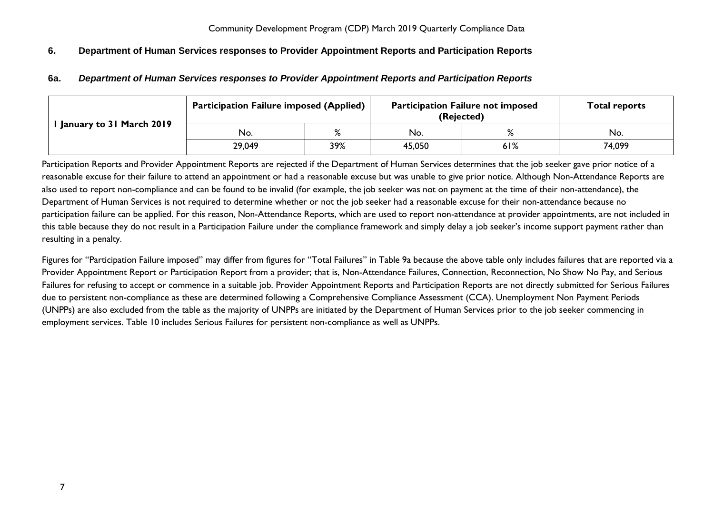# <span id="page-6-1"></span><span id="page-6-0"></span>**6. Department of Human Services responses to Provider Appointment Reports and Participation Reports**

|                            | <b>Participation Failure imposed (Applied)</b> |              | <b>Participation Failure not imposed</b><br>(Rejected) | <b>Total reports</b> |        |  |
|----------------------------|------------------------------------------------|--------------|--------------------------------------------------------|----------------------|--------|--|
| I January to 31 March 2019 | No.                                            | $\mathbf{o}$ | No.                                                    |                      | No.    |  |
|                            | 29,049                                         | 39%          | 45,050                                                 | 61%                  | 74,099 |  |

#### **6a.** *Department of Human Services responses to Provider Appointment Reports and Participation Reports*

Participation Reports and Provider Appointment Reports are rejected if the Department of Human Services determines that the job seeker gave prior notice of a reasonable excuse for their failure to attend an appointment or had a reasonable excuse but was unable to give prior notice. Although Non-Attendance Reports are also used to report non-compliance and can be found to be invalid (for example, the job seeker was not on payment at the time of their non-attendance), the Department of Human Services is not required to determine whether or not the job seeker had a reasonable excuse for their non-attendance because no participation failure can be applied. For this reason, Non-Attendance Reports, which are used to report non-attendance at provider appointments, are not included in this table because they do not result in a Participation Failure under the compliance framework and simply delay a job seeker's income support payment rather than resulting in a penalty.

Figures for "Participation Failure imposed" may differ from figures for "Total Failures" in Table 9a because the above table only includes failures that are reported via a Provider Appointment Report or Participation Report from a provider; that is, Non-Attendance Failures, Connection, Reconnection, No Show No Pay, and Serious Failures for refusing to accept or commence in a suitable job. Provider Appointment Reports and Participation Reports are not directly submitted for Serious Failures due to persistent non-compliance as these are determined following a Comprehensive Compliance Assessment (CCA). Unemployment Non Payment Periods (UNPPs) are also excluded from the table as the majority of UNPPs are initiated by the Department of Human Services prior to the job seeker commencing in employment services. Table 10 includes Serious Failures for persistent non-compliance as well as UNPPs.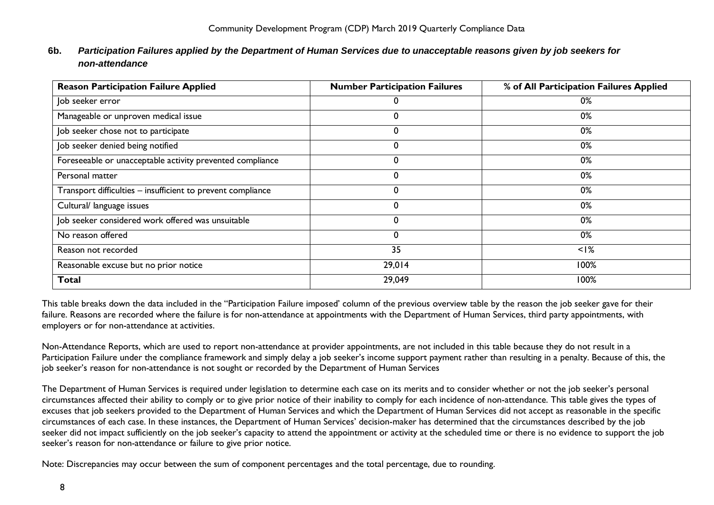# <span id="page-7-0"></span>**6b.** *Participation Failures applied by the Department of Human Services due to unacceptable reasons given by job seekers for non-attendance*

| <b>Reason Participation Failure Applied</b>                 | <b>Number Participation Failures</b> | % of All Participation Failures Applied |
|-------------------------------------------------------------|--------------------------------------|-----------------------------------------|
| Job seeker error                                            |                                      | 0%                                      |
| Manageable or unproven medical issue                        |                                      | 0%                                      |
| Job seeker chose not to participate                         | 0                                    | 0%                                      |
| Job seeker denied being notified                            | 0                                    | 0%                                      |
| Foreseeable or unacceptable activity prevented compliance   | 0                                    | 0%                                      |
| Personal matter                                             | 0                                    | 0%                                      |
| Transport difficulties - insufficient to prevent compliance | 0                                    | 0%                                      |
| Cultural/ language issues                                   | 0                                    | 0%                                      |
| Job seeker considered work offered was unsuitable           | 0                                    | 0%                                      |
| No reason offered                                           | 0                                    | 0%                                      |
| Reason not recorded                                         | 35                                   | $<$ I%                                  |
| Reasonable excuse but no prior notice                       | 29,014                               | 100%                                    |
| <b>Total</b>                                                | 29,049                               | 100%                                    |

This table breaks down the data included in the "Participation Failure imposed' column of the previous overview table by the reason the job seeker gave for their failure. Reasons are recorded where the failure is for non-attendance at appointments with the Department of Human Services, third party appointments, with employers or for non-attendance at activities.

Non-Attendance Reports, which are used to report non-attendance at provider appointments, are not included in this table because they do not result in a Participation Failure under the compliance framework and simply delay a job seeker's income support payment rather than resulting in a penalty. Because of this, the job seeker's reason for non-attendance is not sought or recorded by the Department of Human Services

The Department of Human Services is required under legislation to determine each case on its merits and to consider whether or not the job seeker's personal circumstances affected their ability to comply or to give prior notice of their inability to comply for each incidence of non-attendance. This table gives the types of excuses that job seekers provided to the Department of Human Services and which the Department of Human Services did not accept as reasonable in the specific circumstances of each case. In these instances, the Department of Human Services' decision-maker has determined that the circumstances described by the job seeker did not impact sufficiently on the job seeker's capacity to attend the appointment or activity at the scheduled time or there is no evidence to support the job seeker's reason for non-attendance or failure to give prior notice.

Note: Discrepancies may occur between the sum of component percentages and the total percentage, due to rounding.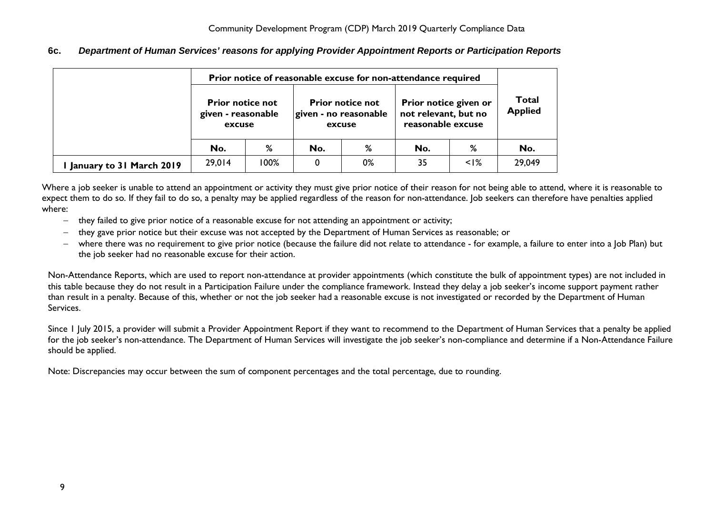<span id="page-8-0"></span>**6c.** *Department of Human Services' reasons for applying Provider Appointment Reports or Participation Reports*

|                          | Prior notice of reasonable excuse for non-attendance required |      |     |                                                            |                                                                    |                                |        |  |  |
|--------------------------|---------------------------------------------------------------|------|-----|------------------------------------------------------------|--------------------------------------------------------------------|--------------------------------|--------|--|--|
|                          | <b>Prior notice not</b><br>given - reasonable<br>excuse       |      |     | <b>Prior notice not</b><br>given - no reasonable<br>excuse | Prior notice given or<br>not relevant, but no<br>reasonable excuse | <b>Total</b><br><b>Applied</b> |        |  |  |
|                          | No.                                                           | %    | No. | %                                                          | No.                                                                | %                              | No.    |  |  |
| January to 31 March 2019 | 29,014                                                        | 100% | 0   | 0%                                                         | 35                                                                 | $\leq$  %                      | 29,049 |  |  |

Where a job seeker is unable to attend an appointment or activity they must give prior notice of their reason for not being able to attend, where it is reasonable to expect them to do so. If they fail to do so, a penalty may be applied regardless of the reason for non-attendance. Job seekers can therefore have penalties applied where:

- − they failed to give prior notice of a reasonable excuse for not attending an appointment or activity;
- − they gave prior notice but their excuse was not accepted by the Department of Human Services as reasonable; or
- − where there was no requirement to give prior notice (because the failure did not relate to attendance for example, a failure to enter into a Job Plan) but the job seeker had no reasonable excuse for their action.

Non-Attendance Reports, which are used to report non-attendance at provider appointments (which constitute the bulk of appointment types) are not included in this table because they do not result in a Participation Failure under the compliance framework. Instead they delay a job seeker's income support payment rather than result in a penalty. Because of this, whether or not the job seeker had a reasonable excuse is not investigated or recorded by the Department of Human Services.

Since 1 July 2015, a provider will submit a Provider Appointment Report if they want to recommend to the Department of Human Services that a penalty be applied for the job seeker's non-attendance. The Department of Human Services will investigate the job seeker's non-compliance and determine if a Non-Attendance Failure should be applied.

Note: Discrepancies may occur between the sum of component percentages and the total percentage, due to rounding.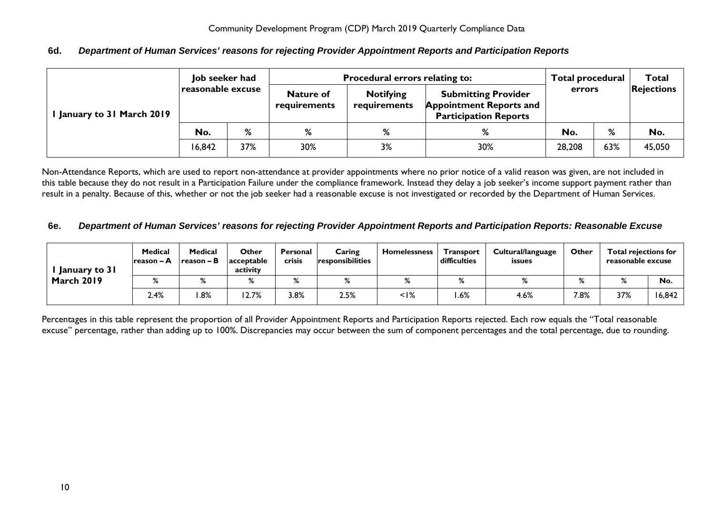## <span id="page-9-0"></span>**6d.** *Department of Human Services' reasons for rejecting Provider Appointment Reports and Participation Reports*

|                          | Job seeker had       |    |                                  | <b>Procedural errors relating to:</b> |                                                                                              | <b>Total procedural</b> |        | <b>Total</b>      |  |
|--------------------------|----------------------|----|----------------------------------|---------------------------------------|----------------------------------------------------------------------------------------------|-------------------------|--------|-------------------|--|
| January to 31 March 2019 | reasonable excuse    |    | <b>Nature of</b><br>requirements | <b>Notifying</b><br>requirements      | <b>Submitting Provider</b><br><b>Appointment Reports and</b><br><b>Participation Reports</b> |                         | errors | <b>Rejections</b> |  |
|                          | %<br>%<br>No.        |    | %                                | %                                     | No.                                                                                          | %                       | No.    |                   |  |
|                          | 37%<br>30%<br>16,842 | 3% | 30%                              | 28,208                                | 63%                                                                                          | 45,050                  |        |                   |  |

Non-Attendance Reports, which are used to report non-attendance at provider appointments where no prior notice of a valid reason was given, are not included in this table because they do not result in a Participation Failure under the compliance framework. Instead they delay a job seeker's income support payment rather than result in a penalty. Because of this, whether or not the job seeker had a reasonable excuse is not investigated or recorded by the Department of Human Services.

#### <span id="page-9-1"></span>**6e.** *Department of Human Services' reasons for rejecting Provider Appointment Reports and Participation Reports: Reasonable Excuse*

| January to 31     | <b>Medical</b><br>Ireason – A | <b>Medical</b><br>$reason - B$ | Other<br>acceptable<br>activity | Personal<br><b>crisis</b> | Caring<br>responsibilities | <b>Homelessness</b> | <b>Transport</b><br>difficulties | Cultural/language<br>issues | Other |              | <b>Total rejections for</b><br>reasonable excuse |  |
|-------------------|-------------------------------|--------------------------------|---------------------------------|---------------------------|----------------------------|---------------------|----------------------------------|-----------------------------|-------|--------------|--------------------------------------------------|--|
| <b>March 2019</b> |                               | %                              | %                               | %                         | $\mathsf{o}$               |                     |                                  | %                           |       | $\mathbf{O}$ | No.                                              |  |
|                   | 2.4%                          | $.8\%$                         | 12.7%                           | 3.8%                      | 2.5%                       | $\leq$  %           | .6%                              | 4.6%                        | 7.8%  | 37%          | 16,842                                           |  |

Percentages in this table represent the proportion of all Provider Appointment Reports and Participation Reports rejected. Each row equals the "Total reasonable excuse" percentage, rather than adding up to 100%. Discrepancies may occur between the sum of component percentages and the total percentage, due to rounding.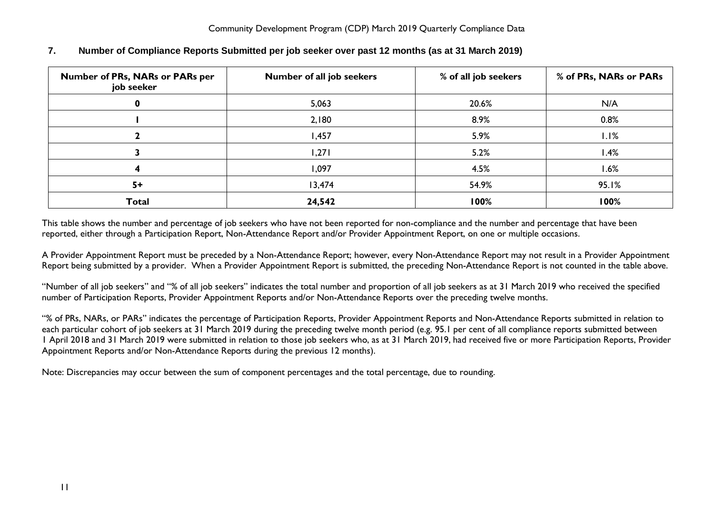| <b>Number of PRs, NARs or PARs per</b><br>job seeker | Number of all job seekers | % of all job seekers | % of PRs, NARs or PARs |
|------------------------------------------------------|---------------------------|----------------------|------------------------|
| 0                                                    | 5,063                     | 20.6%                | N/A                    |
|                                                      | 2,180                     | 8.9%                 | 0.8%                   |
|                                                      | 1,457                     | 5.9%                 | $1.1\%$                |
|                                                      | 1,271                     | 5.2%                 | l.4%                   |
|                                                      | 1,097                     | 4.5%                 | 1.6%                   |
| $5+$                                                 | 13,474                    | 54.9%                | 95.1%                  |
| <b>Total</b>                                         | 24,542                    | 100%                 | 100%                   |

# <span id="page-10-0"></span>**7. Number of Compliance Reports Submitted per job seeker over past 12 months (as at 31 March 2019)**

This table shows the number and percentage of job seekers who have not been reported for non-compliance and the number and percentage that have been reported, either through a Participation Report, Non-Attendance Report and/or Provider Appointment Report, on one or multiple occasions.

A Provider Appointment Report must be preceded by a Non-Attendance Report; however, every Non-Attendance Report may not result in a Provider Appointment Report being submitted by a provider. When a Provider Appointment Report is submitted, the preceding Non-Attendance Report is not counted in the table above.

"Number of all job seekers" and "% of all job seekers" indicates the total number and proportion of all job seekers as at 31 March 2019 who received the specified number of Participation Reports, Provider Appointment Reports and/or Non-Attendance Reports over the preceding twelve months.

"% of PRs, NARs, or PARs" indicates the percentage of Participation Reports, Provider Appointment Reports and Non-Attendance Reports submitted in relation to each particular cohort of job seekers at 31 March 2019 during the preceding twelve month period (e.g. 95.1 per cent of all compliance reports submitted between 1 April 2018 and 31 March 2019 were submitted in relation to those job seekers who, as at 31 March 2019, had received five or more Participation Reports, Provider Appointment Reports and/or Non-Attendance Reports during the previous 12 months).

Note: Discrepancies may occur between the sum of component percentages and the total percentage, due to rounding.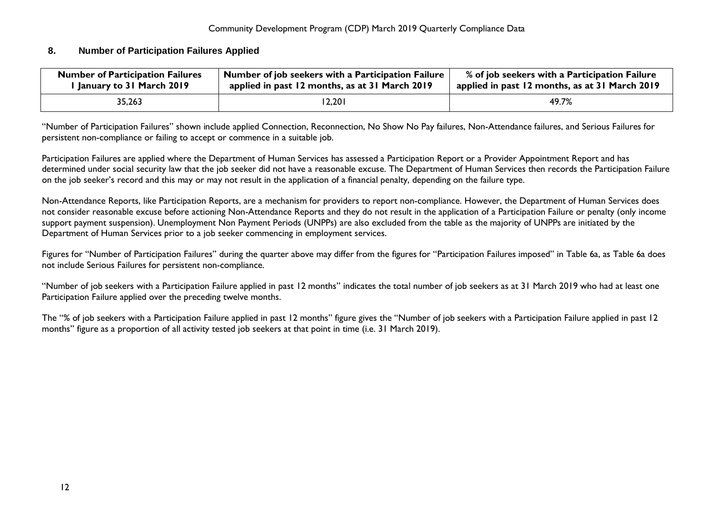#### <span id="page-11-0"></span>**8. Number of Participation Failures Applied**

| <b>Number of Participation Failures</b> | $\pm$ Number of job seekers with a Participation Failure $\pm$ | % of job seekers with a Participation Failure  |
|-----------------------------------------|----------------------------------------------------------------|------------------------------------------------|
| l January to 31 March 2019              | applied in past 12 months, as at 31 March 2019                 | applied in past 12 months, as at 31 March 2019 |
| 35,263                                  | 12,201                                                         | 49.7%                                          |

"Number of Participation Failures" shown include applied Connection, Reconnection, No Show No Pay failures, Non-Attendance failures, and Serious Failures for persistent non-compliance or failing to accept or commence in a suitable job.

Participation Failures are applied where the Department of Human Services has assessed a Participation Report or a Provider Appointment Report and has determined under social security law that the job seeker did not have a reasonable excuse. The Department of Human Services then records the Participation Failure on the job seeker's record and this may or may not result in the application of a financial penalty, depending on the failure type.

Non-Attendance Reports, like Participation Reports, are a mechanism for providers to report non-compliance. However, the Department of Human Services does not consider reasonable excuse before actioning Non-Attendance Reports and they do not result in the application of a Participation Failure or penalty (only income support payment suspension). Unemployment Non Payment Periods (UNPPs) are also excluded from the table as the majority of UNPPs are initiated by the Department of Human Services prior to a job seeker commencing in employment services.

Figures for "Number of Participation Failures" during the quarter above may differ from the figures for "Participation Failures imposed" in Table 6a, as Table 6a does not include Serious Failures for persistent non-compliance.

"Number of job seekers with a Participation Failure applied in past 12 months" indicates the total number of job seekers as at 31 March 2019 who had at least one Participation Failure applied over the preceding twelve months.

The "% of job seekers with a Participation Failure applied in past 12 months" figure gives the "Number of job seekers with a Participation Failure applied in past 12 months" figure as a proportion of all activity tested job seekers at that point in time (i.e. 31 March 2019).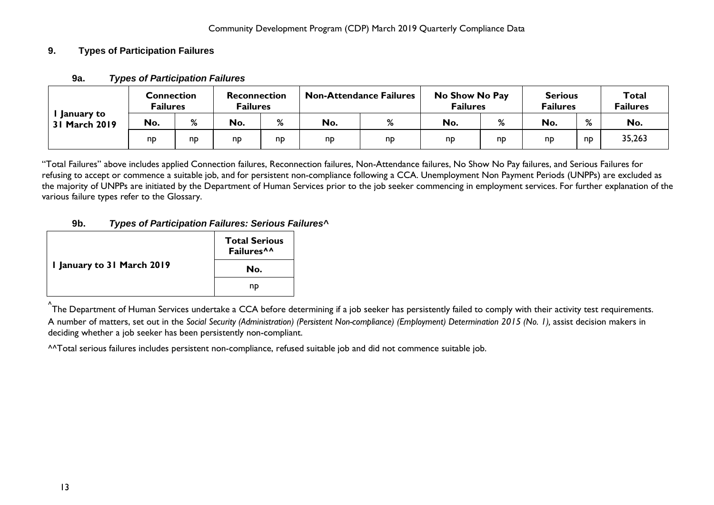# <span id="page-12-1"></span><span id="page-12-0"></span>**9. Types of Participation Failures**

| January to<br>31 March 2019 | <b>Connection</b><br><b>Failures</b> |    | <b>Reconnection</b><br><b>Failures</b> |    | <b>Non-Attendance Failures</b> |    | No Show No Pay<br><b>Failures</b> |                | <b>Serious</b><br><b>Failures</b> |                    | <b>Total</b><br><b>Failures</b> |
|-----------------------------|--------------------------------------|----|----------------------------------------|----|--------------------------------|----|-----------------------------------|----------------|-----------------------------------|--------------------|---------------------------------|
|                             | No.                                  | %  | No.                                    | %  | No.                            | %  | No.                               | %              | No.                               | $\mathsf{o}$<br>70 | No.                             |
|                             | np                                   | np | np                                     | nd | np                             | np | np                                | n <sub>D</sub> | np                                | nD                 | 35,263                          |

# **9a.** *Types of Participation Failures*

"Total Failures" above includes applied Connection failures, Reconnection failures, Non-Attendance failures, No Show No Pay failures, and Serious Failures for refusing to accept or commence a suitable job, and for persistent non-compliance following a CCA. Unemployment Non Payment Periods (UNPPs) are excluded as the majority of UNPPs are initiated by the Department of Human Services prior to the job seeker commencing in employment services. For further explanation of the various failure types refer to the Glossary.

# **9b.** *Types of Participation Failures: Serious Failures^*

<span id="page-12-2"></span>

|                            | <b>Total Serious</b><br>Failures <sup>^^</sup> |
|----------------------------|------------------------------------------------|
| I January to 31 March 2019 | No.                                            |
|                            | np                                             |

.<br>^The Department of Human Services undertake a CCA before determining if a job seeker has persistently failed to comply with their activity test requirements. A number of matters, set out in the *Social Security (Administration) (Persistent Non-compliance) (Employment) Determination 2015 (No. 1),* assist decision makers in deciding whether a job seeker has been persistently non-compliant.

^^Total serious failures includes persistent non-compliance, refused suitable job and did not commence suitable job.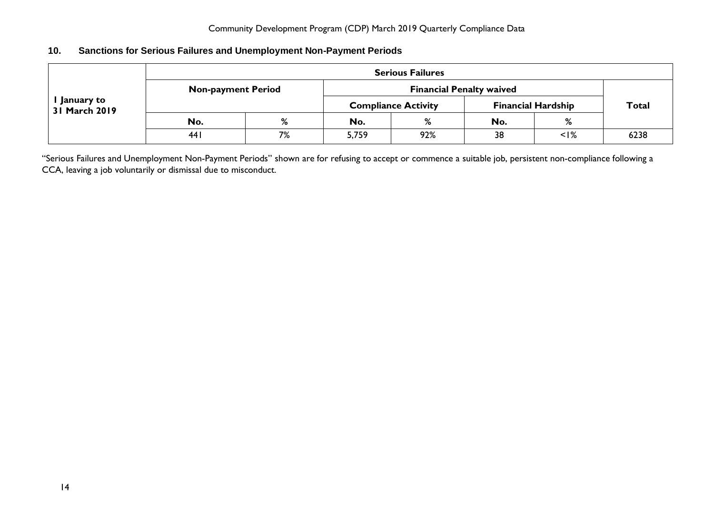# <span id="page-13-0"></span>**10. Sanctions for Serious Failures and Unemployment Non-Payment Periods**

| January to<br>31 March 2019 |                           | <b>Serious Failures</b> |       |                                 |                           |              |      |  |  |  |  |  |  |
|-----------------------------|---------------------------|-------------------------|-------|---------------------------------|---------------------------|--------------|------|--|--|--|--|--|--|
|                             | <b>Non-payment Period</b> |                         |       | <b>Financial Penalty waived</b> |                           |              |      |  |  |  |  |  |  |
|                             |                           |                         |       | <b>Compliance Activity</b>      | <b>Financial Hardship</b> | <b>Total</b> |      |  |  |  |  |  |  |
|                             | No.                       | %                       | No.   | %                               | No.                       | %            |      |  |  |  |  |  |  |
|                             | 441                       | 7%                      | 5,759 | 92%                             | 38                        | $<$ I%       | 6238 |  |  |  |  |  |  |

"Serious Failures and Unemployment Non-Payment Periods" shown are for refusing to accept or commence a suitable job, persistent non-compliance following a CCA, leaving a job voluntarily or dismissal due to misconduct.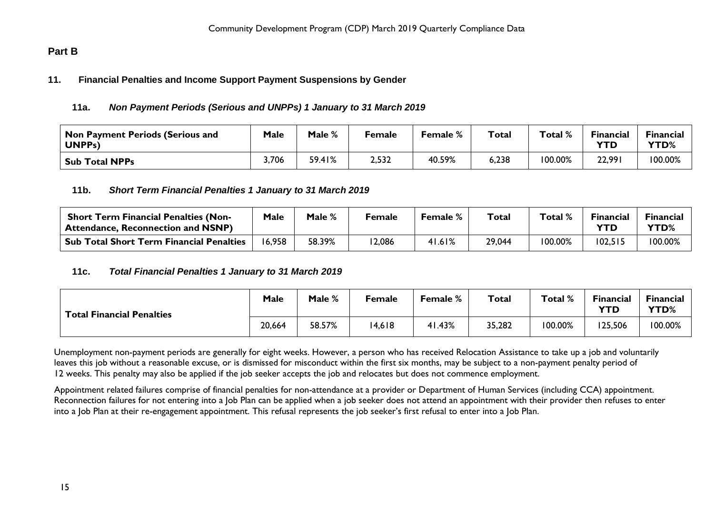# <span id="page-14-1"></span><span id="page-14-0"></span>**Part B**

#### <span id="page-14-2"></span>**11. Financial Penalties and Income Support Payment Suspensions by Gender**

#### **11a.** *Non Payment Periods (Serious and UNPPs) 1 January to 31 March 2019*

| Non Payment Periods (Serious and<br>UNPP <sub>s</sub> ) | Male  | Male % | Female | Female % | <b>Total</b> | Total % | <b>Financial</b><br><b>YTD</b> | <b>Financial</b><br>YTD% |
|---------------------------------------------------------|-------|--------|--------|----------|--------------|---------|--------------------------------|--------------------------|
| <b>Sub Total NPPs</b>                                   | 3,706 | 59.41% | 2,532  | 40.59%   | 6,238        | 100.00% | 22,991                         | 100.00%                  |

#### <span id="page-14-3"></span>**11b.** *Short Term Financial Penalties 1 January to 31 March 2019*

| <b>Short Term Financial Penalties (Non-</b><br><b>Attendance, Reconnection and NSNP)</b> | Male   | Male % | Female | <b>Female %</b> | Total  | Total % | <b>Financial</b><br>YTD | <b>Financial</b><br><b>YTD%</b> |
|------------------------------------------------------------------------------------------|--------|--------|--------|-----------------|--------|---------|-------------------------|---------------------------------|
| <b>Sub Total Short Term Financial Penalties</b>                                          | 16,958 | 58.39% | 2,086  | 41.61%          | 29,044 | 100.00% | 102,515                 | 100.00%                         |

#### <span id="page-14-4"></span>**11c.** *Total Financial Penalties 1 January to 31 March 2019*

| <b>Total Financial Penalties</b> | Male   | Male % | Female | Female % | <b>Total</b> | Total % | <b>Financial</b><br><b>YTD</b> | Financial<br>YTD% |
|----------------------------------|--------|--------|--------|----------|--------------|---------|--------------------------------|-------------------|
|                                  | 20,664 | 58.57% | 14,618 | 41.43%   | 35,282       | 100.00% | 125,506                        | 100.00%           |

Unemployment non-payment periods are generally for eight weeks. However, a person who has received Relocation Assistance to take up a job and voluntarily leaves this job without a reasonable excuse, or is dismissed for misconduct within the first six months, may be subject to a non-payment penalty period of 12 weeks. This penalty may also be applied if the job seeker accepts the job and relocates but does not commence employment.

Appointment related failures comprise of financial penalties for non-attendance at a provider or Department of Human Services (including CCA) appointment. Reconnection failures for not entering into a Job Plan can be applied when a job seeker does not attend an appointment with their provider then refuses to enter into a Job Plan at their re-engagement appointment. This refusal represents the job seeker's first refusal to enter into a Job Plan.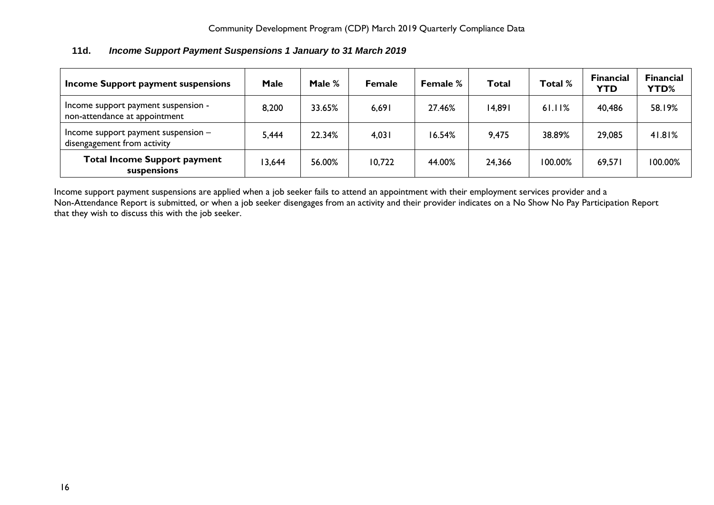<span id="page-15-0"></span>

| 11d. | Income Support Payment Suspensions 1 January to 31 March 2019 |
|------|---------------------------------------------------------------|
|------|---------------------------------------------------------------|

| Income Support payment suspensions                                   | <b>Male</b> | Male % | <b>Female</b> | <b>Female</b> % | Total  | Total % | <b>Financial</b><br><b>YTD</b> | <b>Financial</b><br><b>YTD%</b> |
|----------------------------------------------------------------------|-------------|--------|---------------|-----------------|--------|---------|--------------------------------|---------------------------------|
| Income support payment suspension -<br>non-attendance at appointment | 8,200       | 33.65% | 6,691         | 27.46%          | 14,891 | 61.11%  | 40,486                         | 58.19%                          |
| Income support payment suspension $-$<br>disengagement from activity | 5,444       | 22.34% | 4,031         | 16.54%          | 9,475  | 38.89%  | 29,085                         | 41.81%                          |
| <b>Total Income Support payment</b><br>suspensions                   | 3,644       | 56.00% | 10,722        | 44.00%          | 24,366 | 100.00% | 69,571                         | 100.00%                         |

Income support payment suspensions are applied when a job seeker fails to attend an appointment with their employment services provider and a Non-Attendance Report is submitted, or when a job seeker disengages from an activity and their provider indicates on a No Show No Pay Participation Report that they wish to discuss this with the job seeker.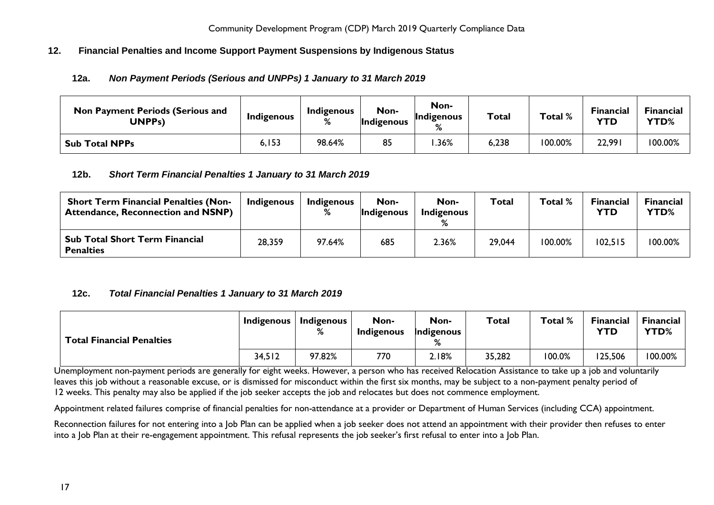# <span id="page-16-1"></span><span id="page-16-0"></span>**12. Financial Penalties and Income Support Payment Suspensions by Indigenous Status**

# **12a.** *Non Payment Periods (Serious and UNPPs) 1 January to 31 March 2019*

| <b>Non Payment Periods (Serious and</b><br>UNPPs) | Indigenous | Indigenous | Non-<br>Indigenous | Non-<br>Indigenous<br>% | <b>Total</b> | Total % | <b>Financial</b><br><b>YTD</b> | Financial<br>YTD% |
|---------------------------------------------------|------------|------------|--------------------|-------------------------|--------------|---------|--------------------------------|-------------------|
| <b>Sub Total NPPs</b>                             | 6, I 53    | 98.64%     | 85                 | .36%                    | 6,238        | 100.00% | 22,991                         | 100.00%           |

#### <span id="page-16-2"></span>**12b.** *Short Term Financial Penalties 1 January to 31 March 2019*

| <b>Short Term Financial Penalties (Non-</b><br><b>Attendance, Reconnection and NSNP)</b> | <b>Indigenous</b> | <b>Indigenous</b><br>% | Non-<br>Indigenous | Non-<br><b>Indigenous</b> | Total  | Total % | <b>Financial</b><br>YTD | <b>Financial</b><br>YTD% |
|------------------------------------------------------------------------------------------|-------------------|------------------------|--------------------|---------------------------|--------|---------|-------------------------|--------------------------|
| <b>Sub Total Short Term Financial</b><br><b>Penalties</b>                                | 28,359            | 97.64%                 | 685                | 2.36%                     | 29,044 | 100.00% | 102,515                 | 100.00%                  |

# <span id="page-16-3"></span>**12c.** *Total Financial Penalties 1 January to 31 March 2019*

| <b>Total Financial Penalties</b> | Indigenous | <b>Indigenous</b><br>$\mathsf{o}$ | Non-<br><b>Indigenous</b> | Non-<br>Indigenous<br>% | Total  | Total % | Financial<br><b>YTD</b> | <b>Financial</b><br>YTD% |
|----------------------------------|------------|-----------------------------------|---------------------------|-------------------------|--------|---------|-------------------------|--------------------------|
|                                  | 34,512     | 97.82%                            | 770                       | 2.18%                   | 35,282 | 100.0%  | 125,506                 | 100.00%                  |

Unemployment non-payment periods are generally for eight weeks. However, a person who has received Relocation Assistance to take up a job and voluntarily leaves this job without a reasonable excuse, or is dismissed for misconduct within the first six months, may be subject to a non-payment penalty period of 12 weeks. This penalty may also be applied if the job seeker accepts the job and relocates but does not commence employment.

Appointment related failures comprise of financial penalties for non-attendance at a provider or Department of Human Services (including CCA) appointment.

Reconnection failures for not entering into a Job Plan can be applied when a job seeker does not attend an appointment with their provider then refuses to enter into a Job Plan at their re-engagement appointment. This refusal represents the job seeker's first refusal to enter into a Job Plan.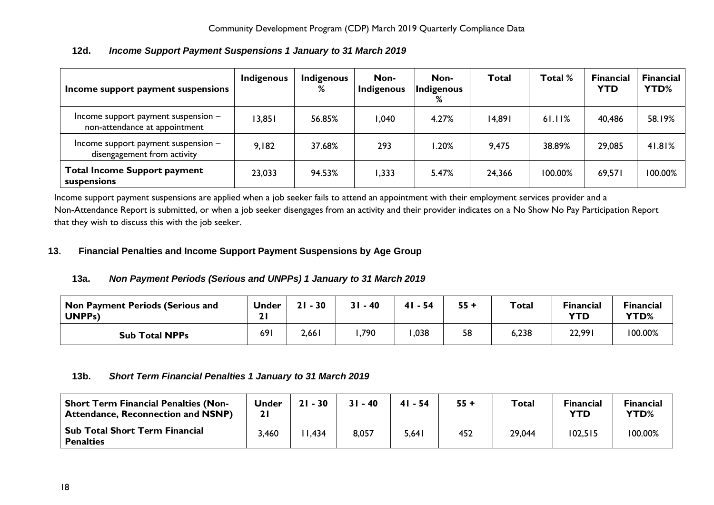<span id="page-17-0"></span>

| Income support payment suspensions                                   | <b>Indigenous</b> | <b>Indigenous</b><br>% | Non-<br>Indigenous | Non-<br>Indigenous<br>% | <b>Total</b> | Total % | <b>Financial</b><br><b>YTD</b> | <b>Financial</b><br><b>YTD%</b> |
|----------------------------------------------------------------------|-------------------|------------------------|--------------------|-------------------------|--------------|---------|--------------------------------|---------------------------------|
| Income support payment suspension -<br>non-attendance at appointment | 13,851            | 56.85%                 | 040, ا             | 4.27%                   | 14,891       | 61.11%  | 40,486                         | 58.19%                          |
| Income support payment suspension -<br>disengagement from activity   | 9,182             | 37.68%                 | 293                | 1.20%                   | 9,475        | 38.89%  | 29,085                         | 41.81%                          |
| <b>Total Income Support payment</b><br>suspensions                   | 23,033            | 94.53%                 | 1,333              | 5.47%                   | 24,366       | 100.00% | 69,571                         | 100.00%                         |

# **12d.** *Income Support Payment Suspensions 1 January to 31 March 2019*

Income support payment suspensions are applied when a job seeker fails to attend an appointment with their employment services provider and a Non-Attendance Report is submitted, or when a job seeker disengages from an activity and their provider indicates on a No Show No Pay Participation Report that they wish to discuss this with the job seeker.

# <span id="page-17-2"></span><span id="page-17-1"></span>**13. Financial Penalties and Income Support Payment Suspensions by Age Group**

# **13a.** *Non Payment Periods (Serious and UNPPs) 1 January to 31 March 2019*

| Non Payment Periods (Serious and<br><b>UNPPs)</b> | <b>Under</b><br>. . | 21<br>$-30$ | $31 - 40$ | $41 - 54$ | $55 +$ | <b>Total</b> | <b>Financial</b><br><b>YTD</b> | <b>Financial</b><br>YTD% |
|---------------------------------------------------|---------------------|-------------|-----------|-----------|--------|--------------|--------------------------------|--------------------------|
| <b>Sub Total NPPs</b>                             | 691                 | 2,661       | ,790      | ,038      | 58     | 6,238        | 22,991                         | 100.00%                  |

# <span id="page-17-3"></span>**13b.** *Short Term Financial Penalties 1 January to 31 March 2019*

| <b>Short Term Financial Penalties (Non-</b><br><b>Attendance, Reconnection and NSNP)</b> | <b>Under</b><br>ا 2 | $21 - 30$ | $31 - 40$ | $41 - 54$ | $55 +$ | <b>Total</b> | <b>Financial</b><br><b>YTD</b> | <b>Financial</b><br>YTD% |
|------------------------------------------------------------------------------------------|---------------------|-----------|-----------|-----------|--------|--------------|--------------------------------|--------------------------|
| Sub Total Short Term Financial<br><b>Penalties</b>                                       | 3,460               | 1,434     | 8,057     | 5,641     | 452    | 29,044       | 102,515                        | 100.00%                  |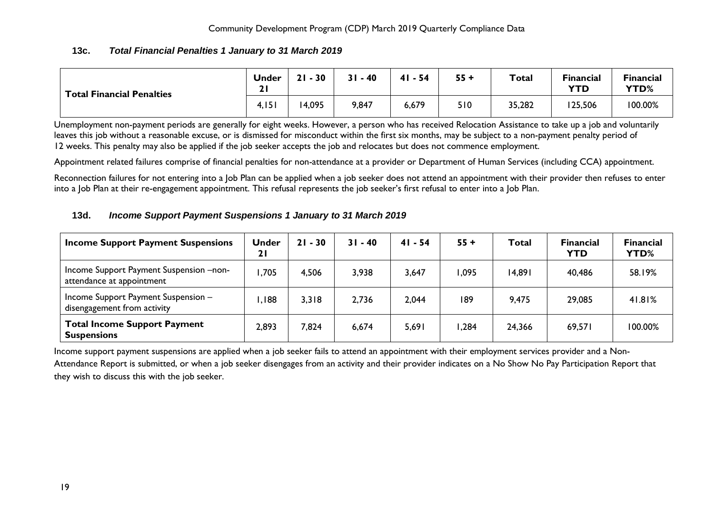#### **13c.** *Total Financial Penalties 1 January to 31 March 2019*

<span id="page-18-0"></span>

| <b>Total Financial Penalties</b> | <b>Under</b><br>. .<br>4I | 21<br>30 | 31<br>$-40$ | $41 - 54$ | $55 +$ | <b>Total</b> | <b>Financial</b><br><b>YTD</b> | <b>Financial</b><br>YTD% |
|----------------------------------|---------------------------|----------|-------------|-----------|--------|--------------|--------------------------------|--------------------------|
|                                  | 4,151                     | 14,095   | 9,847       | 6,679     | 510    | 35,282       | 125,506                        | 100.00%                  |

Unemployment non-payment periods are generally for eight weeks. However, a person who has received Relocation Assistance to take up a job and voluntarily leaves this job without a reasonable excuse, or is dismissed for misconduct within the first six months, may be subject to a non-payment penalty period of 12 weeks. This penalty may also be applied if the job seeker accepts the job and relocates but does not commence employment.

Appointment related failures comprise of financial penalties for non-attendance at a provider or Department of Human Services (including CCA) appointment.

Reconnection failures for not entering into a Job Plan can be applied when a job seeker does not attend an appointment with their provider then refuses to enter into a Job Plan at their re-engagement appointment. This refusal represents the job seeker's first refusal to enter into a Job Plan.

#### <span id="page-18-1"></span>**13d.** *Income Support Payment Suspensions 1 January to 31 March 2019*

| <b>Income Support Payment Suspensions</b>                            | Under<br>21 | $21 - 30$ | $31 - 40$ | $41 - 54$ | $55 +$ | <b>Total</b> | <b>Financial</b><br><b>YTD</b> | <b>Financial</b><br>YTD% |
|----------------------------------------------------------------------|-------------|-----------|-----------|-----------|--------|--------------|--------------------------------|--------------------------|
| Income Support Payment Suspension -non-<br>attendance at appointment | ,705        | 4,506     | 3,938     | 3,647     | .095   | 14,891       | 40,486                         | 58.19%                   |
| Income Support Payment Suspension -<br>disengagement from activity   | ,188        | 3,318     | 2,736     | 2,044     | 189    | 9,475        | 29,085                         | 41.81%                   |
| <b>Total Income Support Payment</b><br><b>Suspensions</b>            | 2,893       | 7,824     | 6,674     | 5,691     | .284   | 24,366       | 69,571                         | 100.00%                  |

Income support payment suspensions are applied when a job seeker fails to attend an appointment with their employment services provider and a Non-Attendance Report is submitted, or when a job seeker disengages from an activity and their provider indicates on a No Show No Pay Participation Report that they wish to discuss this with the job seeker.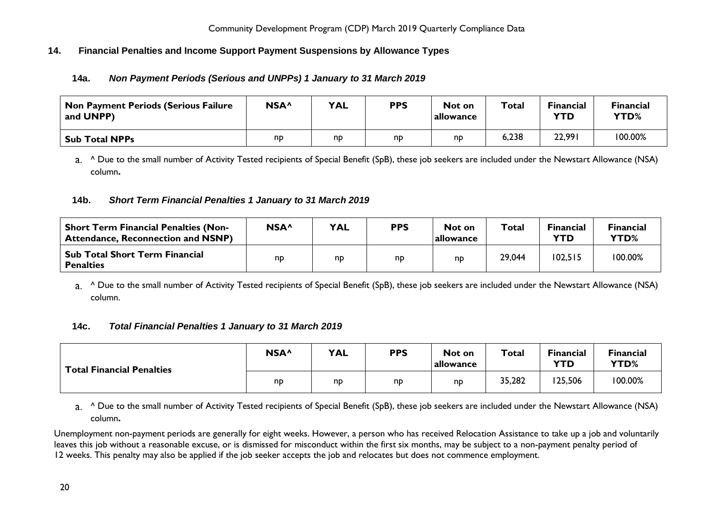# <span id="page-19-1"></span><span id="page-19-0"></span>**14. Financial Penalties and Income Support Payment Suspensions by Allowance Types**

# **14a.** *Non Payment Periods (Serious and UNPPs) 1 January to 31 March 2019*

| <b>Non Payment Periods (Serious Failure</b><br>and UNPP) | NSA <sup>^</sup> | <b>YAL</b> | <b>PPS</b> | Not on<br>allowance | <b>Total</b> | <b>Financial</b><br>YTD | <b>Financial</b><br>YTD% |
|----------------------------------------------------------|------------------|------------|------------|---------------------|--------------|-------------------------|--------------------------|
| Sub Total NPPs                                           | np               | nd         | np         | np                  | 6,238        | 22,991                  | 100.00%                  |

a. <sup>^</sup> Due to the small number of Activity Tested recipients of Special Benefit (SpB), these job seekers are included under the Newstart Allowance (NSA) column**.**

# <span id="page-19-2"></span>**14b.** *Short Term Financial Penalties 1 January to 31 March 2019*

| <b>Short Term Financial Penalties (Non-</b><br><b>Attendance, Reconnection and NSNP)</b> | NSA <sup>^</sup> | <b>YAL</b> | <b>PPS</b> | Not on<br>allowance | Total  | <b>Financial</b><br>YTD | <b>Financial</b><br>YTD% |
|------------------------------------------------------------------------------------------|------------------|------------|------------|---------------------|--------|-------------------------|--------------------------|
| Sub Total Short Term Financial<br><b>Penalties</b>                                       | nD               | np         | np         | np                  | 29,044 | 102,515                 | 100.00%                  |

a. <sup>^</sup> Due to the small number of Activity Tested recipients of Special Benefit (SpB), these job seekers are included under the Newstart Allowance (NSA) column.

# <span id="page-19-3"></span>**14c.** *Total Financial Penalties 1 January to 31 March 2019*

| <b>Total Financial Penalties</b> | NSA <sup>^</sup> | <b>YAL</b> | <b>PPS</b>     | Not on<br>allowance | <b>Total</b> | <b>Financial</b><br><b>YTD</b> | <b>Financial</b><br><b>YTD%</b> |
|----------------------------------|------------------|------------|----------------|---------------------|--------------|--------------------------------|---------------------------------|
|                                  | np               | np         | n <sub>D</sub> | np                  | 35,282       | 125,506                        | 100.00%                         |

a. <sup>^</sup> Due to the small number of Activity Tested recipients of Special Benefit (SpB), these job seekers are included under the Newstart Allowance (NSA) column**.**

Unemployment non-payment periods are generally for eight weeks. However, a person who has received Relocation Assistance to take up a job and voluntarily leaves this job without a reasonable excuse, or is dismissed for misconduct within the first six months, may be subject to a non-payment penalty period of 12 weeks. This penalty may also be applied if the job seeker accepts the job and relocates but does not commence employment.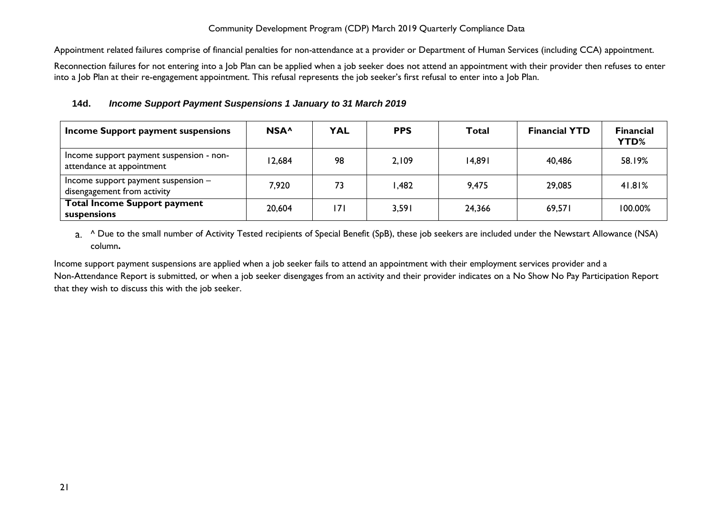Appointment related failures comprise of financial penalties for non-attendance at a provider or Department of Human Services (including CCA) appointment.

Reconnection failures for not entering into a Job Plan can be applied when a job seeker does not attend an appointment with their provider then refuses to enter into a Job Plan at their re-engagement appointment. This refusal represents the job seeker's first refusal to enter into a Job Plan.

# <span id="page-20-0"></span>**14d.** *Income Support Payment Suspensions 1 January to 31 March 2019*

| Income Support payment suspensions                                    | NSA <sup>^</sup> | <b>YAL</b> | <b>PPS</b> | Total  | <b>Financial YTD</b> | <b>Financial</b><br>YTD% |
|-----------------------------------------------------------------------|------------------|------------|------------|--------|----------------------|--------------------------|
| Income support payment suspension - non-<br>attendance at appointment | 12,684           | 98         | 2,109      | 14,891 | 40.486               | 58.19%                   |
| Income support payment suspension $-$<br>disengagement from activity  | 7,920            | 73         | .482       | 9,475  | 29,085               | 41.81%                   |
| <b>Total Income Support payment</b><br>suspensions                    | 20,604           | 171        | 3,591      | 24,366 | 69.571               | 100.00%                  |

a. <sup>^</sup> Due to the small number of Activity Tested recipients of Special Benefit (SpB), these job seekers are included under the Newstart Allowance (NSA) column**.**

Income support payment suspensions are applied when a job seeker fails to attend an appointment with their employment services provider and a Non-Attendance Report is submitted, or when a job seeker disengages from an activity and their provider indicates on a No Show No Pay Participation Report that they wish to discuss this with the job seeker.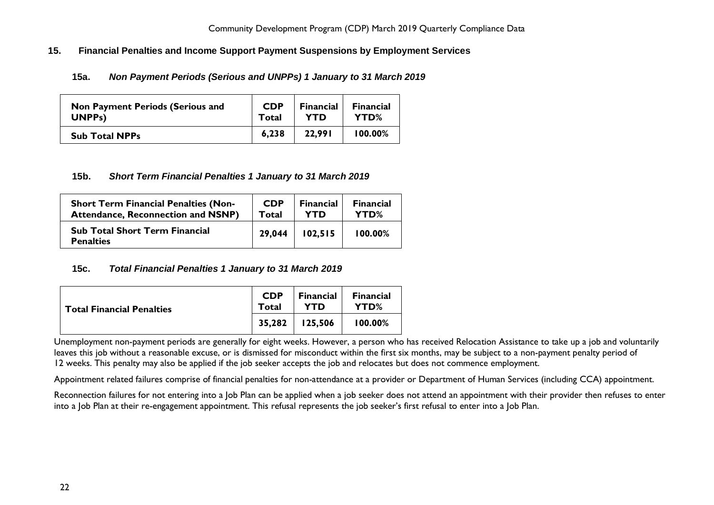## <span id="page-21-1"></span><span id="page-21-0"></span>**15. Financial Penalties and Income Support Payment Suspensions by Employment Services**

# **15a.** *Non Payment Periods (Serious and UNPPs) 1 January to 31 March 2019*

| <b>Non Payment Periods (Serious and</b> | <b>CDP</b> | <b>Financial</b> | <b>Financial</b> |
|-----------------------------------------|------------|------------------|------------------|
| UNPP <sub>s</sub> )                     | Total      | <b>YTD</b>       | YTD%             |
| <b>Sub Total NPPs</b>                   | 6.238      | 22.991           | $100.00\%$       |

#### <span id="page-21-2"></span>**15b.** *Short Term Financial Penalties 1 January to 31 March 2019*

| <b>Short Term Financial Penalties (Non-</b>               | <b>CDP</b> | <b>Financial</b> | <b>Financial</b> |
|-----------------------------------------------------------|------------|------------------|------------------|
| <b>Attendance, Reconnection and NSNP)</b>                 | Total      | YTD              | YTD%             |
| <b>Sub Total Short Term Financial</b><br><b>Penalties</b> | 29,044     | 102,515          | 100.00%          |

#### <span id="page-21-3"></span>**15c.** *Total Financial Penalties 1 January to 31 March 2019*

| <b>Total Financial Penalties</b> | <b>CDP</b><br>Total | Financial<br>YTD   | <b>Financial</b><br>YTD% |
|----------------------------------|---------------------|--------------------|--------------------------|
|                                  |                     | $35,282$   125,506 | 100.00%                  |

Unemployment non-payment periods are generally for eight weeks. However, a person who has received Relocation Assistance to take up a job and voluntarily leaves this job without a reasonable excuse, or is dismissed for misconduct within the first six months, may be subject to a non-payment penalty period of 12 weeks. This penalty may also be applied if the job seeker accepts the job and relocates but does not commence employment.

Appointment related failures comprise of financial penalties for non-attendance at a provider or Department of Human Services (including CCA) appointment.

Reconnection failures for not entering into a Job Plan can be applied when a job seeker does not attend an appointment with their provider then refuses to enter into a Job Plan at their re-engagement appointment. This refusal represents the job seeker's first refusal to enter into a Job Plan.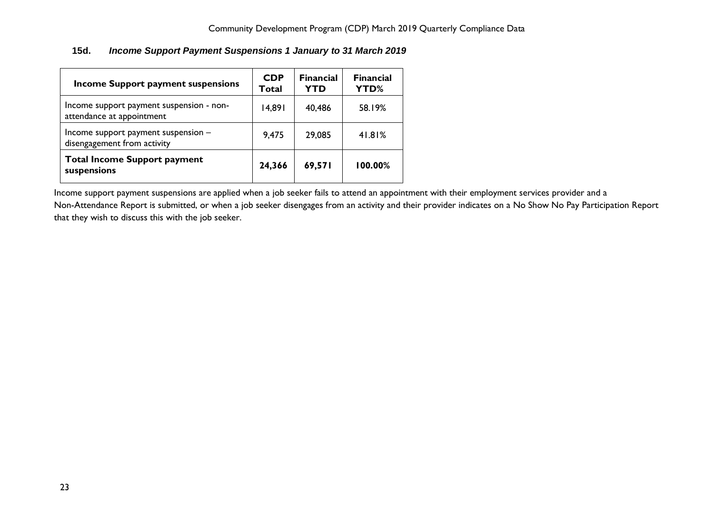# <span id="page-22-0"></span>**15d.** *Income Support Payment Suspensions 1 January to 31 March 2019*

| <b>Income Support payment suspensions</b>                             | <b>CDP</b><br>Total | <b>Financial</b><br><b>YTD</b> | <b>Financial</b><br>YTD% |
|-----------------------------------------------------------------------|---------------------|--------------------------------|--------------------------|
| Income support payment suspension - non-<br>attendance at appointment | 14,891              | 40,486                         | 58.19%                   |
| Income support payment suspension -<br>disengagement from activity    | 9,475               | 29,085                         | 41.81%                   |
| <b>Total Income Support payment</b><br>suspensions                    | 24,366              | 69,571                         | 100.00%                  |

Income support payment suspensions are applied when a job seeker fails to attend an appointment with their employment services provider and a

Non-Attendance Report is submitted, or when a job seeker disengages from an activity and their provider indicates on a No Show No Pay Participation Report that they wish to discuss this with the job seeker.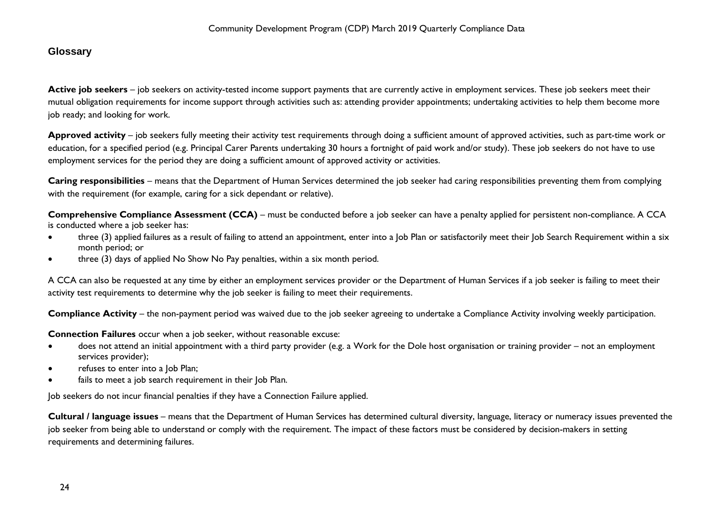# <span id="page-23-0"></span>**Glossary**

Active job seekers – job seekers on activity-tested income support payments that are currently active in employment services. These job seekers meet their mutual obligation requirements for income support through activities such as: attending provider appointments; undertaking activities to help them become more job ready; and looking for work.

**Approved activity** – job seekers fully meeting their activity test requirements through doing a sufficient amount of approved activities, such as part-time work or education, for a specified period (e.g. Principal Carer Parents undertaking 30 hours a fortnight of paid work and/or study). These job seekers do not have to use employment services for the period they are doing a sufficient amount of approved activity or activities.

**Caring responsibilities** – means that the Department of Human Services determined the job seeker had caring responsibilities preventing them from complying with the requirement (for example, caring for a sick dependant or relative).

**Comprehensive Compliance Assessment (CCA)** – must be conducted before a job seeker can have a penalty applied for persistent non-compliance. A CCA is conducted where a job seeker has:

- three (3) applied failures as a result of failing to attend an appointment, enter into a Job Plan or satisfactorily meet their Job Search Requirement within a six month period; or
- three (3) days of applied No Show No Pay penalties, within a six month period.

A CCA can also be requested at any time by either an employment services provider or the Department of Human Services if a job seeker is failing to meet their activity test requirements to determine why the job seeker is failing to meet their requirements.

**Compliance Activity** – the non-payment period was waived due to the job seeker agreeing to undertake a Compliance Activity involving weekly participation.

**Connection Failures** occur when a job seeker, without reasonable excuse:

- does not attend an initial appointment with a third party provider (e.g. a Work for the Dole host organisation or training provider not an employment services provider);
- refuses to enter into a Job Plan;
- fails to meet a job search requirement in their Job Plan.

Job seekers do not incur financial penalties if they have a Connection Failure applied.

**Cultural / language issues** – means that the Department of Human Services has determined cultural diversity, language, literacy or numeracy issues prevented the job seeker from being able to understand or comply with the requirement. The impact of these factors must be considered by decision-makers in setting requirements and determining failures.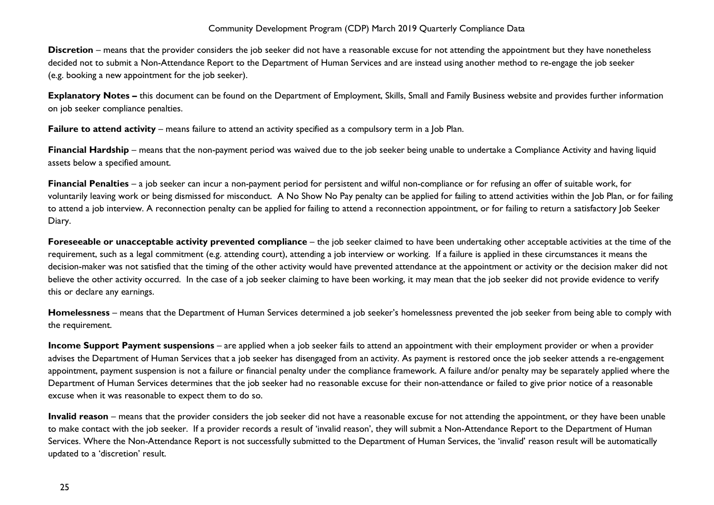**Discretion** – means that the provider considers the job seeker did not have a reasonable excuse for not attending the appointment but they have nonetheless decided not to submit a Non-Attendance Report to the Department of Human Services and are instead using another method to re-engage the job seeker (e.g. booking a new appointment for the job seeker).

**Explanatory Notes –** this document can be found on the Department of Employment, Skills, Small and Family Business website and provides further information on job seeker compliance penalties.

**Failure to attend activity** – means failure to attend an activity specified as a compulsory term in a Job Plan.

**Financial Hardship** – means that the non-payment period was waived due to the job seeker being unable to undertake a Compliance Activity and having liquid assets below a specified amount.

**Financial Penalties** – a job seeker can incur a non-payment period for persistent and wilful non-compliance or for refusing an offer of suitable work, for voluntarily leaving work or being dismissed for misconduct. A No Show No Pay penalty can be applied for failing to attend activities within the Job Plan, or for failing to attend a job interview. A reconnection penalty can be applied for failing to attend a reconnection appointment, or for failing to return a satisfactory Job Seeker Diary.

**Foreseeable or unacceptable activity prevented compliance** – the job seeker claimed to have been undertaking other acceptable activities at the time of the requirement, such as a legal commitment (e.g. attending court), attending a job interview or working. If a failure is applied in these circumstances it means the decision-maker was not satisfied that the timing of the other activity would have prevented attendance at the appointment or activity or the decision maker did not believe the other activity occurred. In the case of a job seeker claiming to have been working, it may mean that the job seeker did not provide evidence to verify this or declare any earnings.

**Homelessness** – means that the Department of Human Services determined a job seeker's homelessness prevented the job seeker from being able to comply with the requirement.

**Income Support Payment suspensions** – are applied when a job seeker fails to attend an appointment with their employment provider or when a provider advises the Department of Human Services that a job seeker has disengaged from an activity. As payment is restored once the job seeker attends a re-engagement appointment, payment suspension is not a failure or financial penalty under the compliance framework. A failure and/or penalty may be separately applied where the Department of Human Services determines that the job seeker had no reasonable excuse for their non-attendance or failed to give prior notice of a reasonable excuse when it was reasonable to expect them to do so.

**Invalid reason** – means that the provider considers the job seeker did not have a reasonable excuse for not attending the appointment, or they have been unable to make contact with the job seeker. If a provider records a result of 'invalid reason', they will submit a Non-Attendance Report to the Department of Human Services. Where the Non-Attendance Report is not successfully submitted to the Department of Human Services, the 'invalid' reason result will be automatically updated to a 'discretion' result.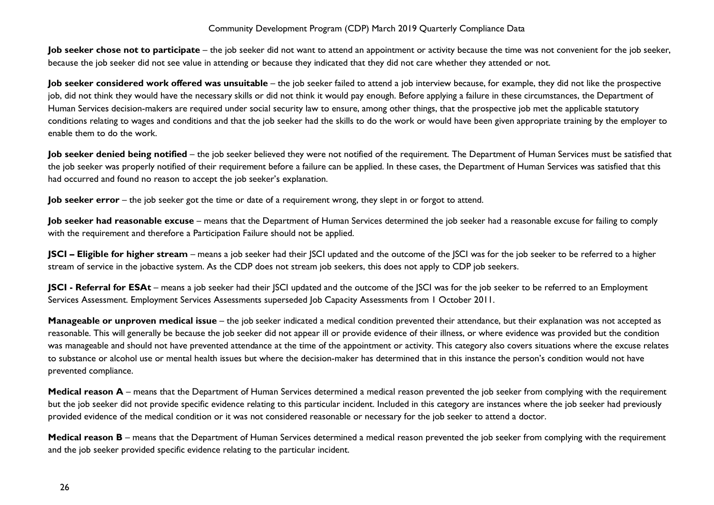**Job seeker chose not to participate** – the job seeker did not want to attend an appointment or activity because the time was not convenient for the job seeker, because the job seeker did not see value in attending or because they indicated that they did not care whether they attended or not.

**Job seeker considered work offered was unsuitable** – the job seeker failed to attend a job interview because, for example, they did not like the prospective job, did not think they would have the necessary skills or did not think it would pay enough. Before applying a failure in these circumstances, the Department of Human Services decision-makers are required under social security law to ensure, among other things, that the prospective job met the applicable statutory conditions relating to wages and conditions and that the job seeker had the skills to do the work or would have been given appropriate training by the employer to enable them to do the work.

Job seeker denied being notified – the job seeker believed they were not notified of the requirement. The Department of Human Services must be satisfied that the job seeker was properly notified of their requirement before a failure can be applied. In these cases, the Department of Human Services was satisfied that this had occurred and found no reason to accept the job seeker's explanation.

**Job seeker error** – the job seeker got the time or date of a requirement wrong, they slept in or forgot to attend.

**Job seeker had reasonable excuse** – means that the Department of Human Services determined the job seeker had a reasonable excuse for failing to comply with the requirement and therefore a Participation Failure should not be applied.

**JSCI – Eligible for higher stream** – means a job seeker had their JSCI updated and the outcome of the JSCI was for the job seeker to be referred to a higher stream of service in the jobactive system. As the CDP does not stream job seekers, this does not apply to CDP job seekers.

**JSCI** - **Referral for ESAt** – means a job seeker had their JSCI updated and the outcome of the JSCI was for the job seeker to be referred to an Employment Services Assessment. Employment Services Assessments superseded Job Capacity Assessments from 1 October 2011.

**Manageable or unproven medical issue** – the job seeker indicated a medical condition prevented their attendance, but their explanation was not accepted as reasonable. This will generally be because the job seeker did not appear ill or provide evidence of their illness, or where evidence was provided but the condition was manageable and should not have prevented attendance at the time of the appointment or activity. This category also covers situations where the excuse relates to substance or alcohol use or mental health issues but where the decision-maker has determined that in this instance the person's condition would not have prevented compliance.

**Medical reason A** – means that the Department of Human Services determined a medical reason prevented the job seeker from complying with the requirement but the job seeker did not provide specific evidence relating to this particular incident. Included in this category are instances where the job seeker had previously provided evidence of the medical condition or it was not considered reasonable or necessary for the job seeker to attend a doctor.

**Medical reason B** – means that the Department of Human Services determined a medical reason prevented the job seeker from complying with the requirement and the job seeker provided specific evidence relating to the particular incident.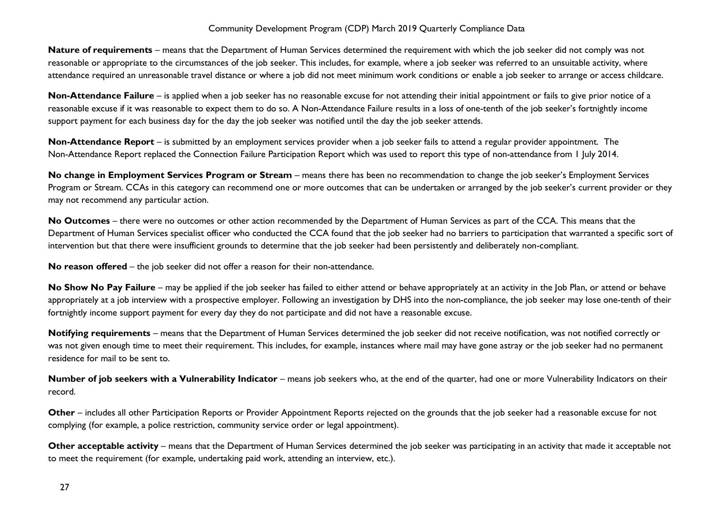**Nature of requirements** – means that the Department of Human Services determined the requirement with which the job seeker did not comply was not reasonable or appropriate to the circumstances of the job seeker. This includes, for example, where a job seeker was referred to an unsuitable activity, where attendance required an unreasonable travel distance or where a job did not meet minimum work conditions or enable a job seeker to arrange or access childcare.

**Non-Attendance Failure** – is applied when a job seeker has no reasonable excuse for not attending their initial appointment or fails to give prior notice of a reasonable excuse if it was reasonable to expect them to do so. A Non-Attendance Failure results in a loss of one-tenth of the job seeker's fortnightly income support payment for each business day for the day the job seeker was notified until the day the job seeker attends.

**Non-Attendance Report** – is submitted by an employment services provider when a job seeker fails to attend a regular provider appointment. The Non-Attendance Report replaced the Connection Failure Participation Report which was used to report this type of non-attendance from 1 July 2014.

**No change in Employment Services Program or Stream** – means there has been no recommendation to change the job seeker's Employment Services Program or Stream. CCAs in this category can recommend one or more outcomes that can be undertaken or arranged by the job seeker's current provider or they may not recommend any particular action.

**No Outcomes** – there were no outcomes or other action recommended by the Department of Human Services as part of the CCA. This means that the Department of Human Services specialist officer who conducted the CCA found that the job seeker had no barriers to participation that warranted a specific sort of intervention but that there were insufficient grounds to determine that the job seeker had been persistently and deliberately non-compliant.

**No reason offered** – the job seeker did not offer a reason for their non-attendance.

No Show No Pay Failure – may be applied if the job seeker has failed to either attend or behave appropriately at an activity in the Job Plan, or attend or behave appropriately at a job interview with a prospective employer. Following an investigation by DHS into the non-compliance, the job seeker may lose one-tenth of their fortnightly income support payment for every day they do not participate and did not have a reasonable excuse.

**Notifying requirements** – means that the Department of Human Services determined the job seeker did not receive notification, was not notified correctly or was not given enough time to meet their requirement. This includes, for example, instances where mail may have gone astray or the job seeker had no permanent residence for mail to be sent to.

**Number of job seekers with a Vulnerability Indicator** – means job seekers who, at the end of the quarter, had one or more Vulnerability Indicators on their record.

**Other** – includes all other Participation Reports or Provider Appointment Reports rejected on the grounds that the job seeker had a reasonable excuse for not complying (for example, a police restriction, community service order or legal appointment).

**Other acceptable activity** – means that the Department of Human Services determined the job seeker was participating in an activity that made it acceptable not to meet the requirement (for example, undertaking paid work, attending an interview, etc.).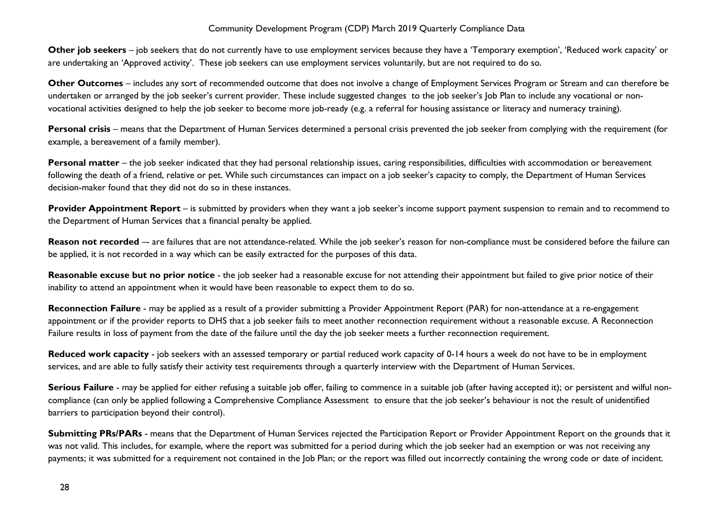**Other job seekers** – job seekers that do not currently have to use employment services because they have a 'Temporary exemption', 'Reduced work capacity' or are undertaking an 'Approved activity'. These job seekers can use employment services voluntarily, but are not required to do so.

**Other Outcomes** – includes any sort of recommended outcome that does not involve a change of Employment Services Program or Stream and can therefore be undertaken or arranged by the job seeker's current provider. These include suggested changes to the job seeker's Job Plan to include any vocational or nonvocational activities designed to help the job seeker to become more job-ready (e.g. a referral for housing assistance or literacy and numeracy training).

**Personal crisis** – means that the Department of Human Services determined a personal crisis prevented the job seeker from complying with the requirement (for example, a bereavement of a family member).

**Personal matter** – the job seeker indicated that they had personal relationship issues, caring responsibilities, difficulties with accommodation or bereavement following the death of a friend, relative or pet. While such circumstances can impact on a job seeker's capacity to comply, the Department of Human Services decision-maker found that they did not do so in these instances.

**Provider Appointment Report** – is submitted by providers when they want a job seeker's income support payment suspension to remain and to recommend to the Department of Human Services that a financial penalty be applied.

**Reason not recorded** -- are failures that are not attendance-related. While the job seeker's reason for non-compliance must be considered before the failure can be applied, it is not recorded in a way which can be easily extracted for the purposes of this data.

Reasonable excuse but no prior notice - the job seeker had a reasonable excuse for not attending their appointment but failed to give prior notice of their inability to attend an appointment when it would have been reasonable to expect them to do so.

**Reconnection Failure** - may be applied as a result of a provider submitting a Provider Appointment Report (PAR) for non-attendance at a re-engagement appointment or if the provider reports to DHS that a job seeker fails to meet another reconnection requirement without a reasonable excuse. A Reconnection Failure results in loss of payment from the date of the failure until the day the job seeker meets a further reconnection requirement.

**Reduced work capacity** - job seekers with an assessed temporary or partial reduced work capacity of 0-14 hours a week do not have to be in employment services, and are able to fully satisfy their activity test requirements through a quarterly interview with the Department of Human Services.

Serious Failure - may be applied for either refusing a suitable job offer, failing to commence in a suitable job (after having accepted it); or persistent and wilful noncompliance (can only be applied following a Comprehensive Compliance Assessment to ensure that the job seeker's behaviour is not the result of unidentified barriers to participation beyond their control).

**Submitting PRs/PARs** - means that the Department of Human Services rejected the Participation Report or Provider Appointment Report on the grounds that it was not valid. This includes, for example, where the report was submitted for a period during which the job seeker had an exemption or was not receiving any payments; it was submitted for a requirement not contained in the Job Plan; or the report was filled out incorrectly containing the wrong code or date of incident.